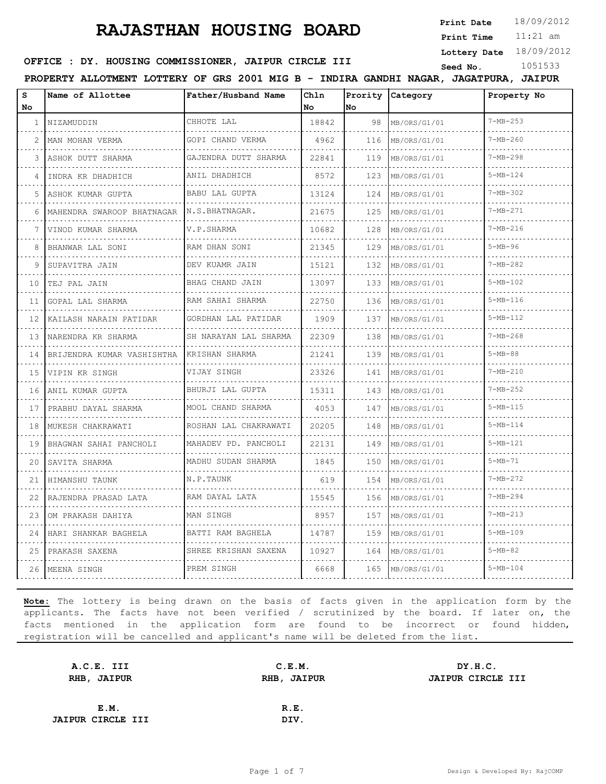**Print Date**  $18/09/2012$ 

11:21 am **Print Time**

**Lottery Date** 18/09/2012

#### **SEED : DY. HOUSING COMMISSIONER, JAIPUR CIRCLE III** Seed No. 1051533

**PROPERTY ALLOTMENT LOTTERY OF GRS 2001 MIG B - INDIRA GANDHI NAGAR, JAGATPURA, JAIPUR**

| S<br>No.     | Name of Allottee           | Father/Husband Name        | Chln<br>No. | No  | Prority Category | Property No    |
|--------------|----------------------------|----------------------------|-------------|-----|------------------|----------------|
| $\mathbf{1}$ | NIZAMUDDIN                 | CHHOTE LAL                 | 18842       | 98  | MB/ORS/G1/01     | $7-MB-253$     |
| 2            | MAN MOHAN VERMA            | GOPI CHAND VERMA           | 4962        | 116 | MB/ORS/G1/01     | $7 - MB - 260$ |
| 3            | ASHOK DUTT SHARMA          | GAJENDRA DUTT SHARMA       | 22841       | 119 | MB/ORS/G1/01     | $7 - MB - 298$ |
| 4            | INDRA KR DHADHICH          | ANIL DHADHICH              | 8572        | 123 | MB/ORS/G1/01     | $5 - MB - 124$ |
| 5            | ASHOK KUMAR GUPTA          | BABU LAL GUPTA             | 13124       | 124 | MB/ORS/G1/01     | $7 - MB - 302$ |
| 6            | MAHENDRA SWAROOP BHATNAGAR | N.S.BHATNAGAR.             | 21675       | 125 | MB/ORS/G1/01     | $7 - MB - 271$ |
| 7            | VINOD KUMAR SHARMA         | V.P.SHARMA                 | 10682       | 128 | MB/ORS/G1/01     | $7 - MB - 216$ |
| 8            | BHANWAR LAL SONI           | RAM DHAN SONI              | 21345       | 129 | MB/ORS/G1/01     | $5-MB-96$      |
| 9            | SUPAVITRA JAIN             | DEV KUAMR JAIN             | 15121       | 132 | MB/ORS/G1/01     | $7-MB-282$     |
| 10           | TEJ PAL JAIN               | BHAG CHAND JAIN            | 13097       | 133 | MB/ORS/G1/01     | $5 - MB - 102$ |
| 11           | GOPAL LAL SHARMA           | RAM SAHAI SHARMA           | 22750       | 136 | MB/ORS/G1/01     | $5 - MB - 116$ |
| 12           | KAILASH NARAIN PATIDAR     | GORDHAN LAL PATIDAR        | 1909        | 137 | MB/ORS/G1/01     | $5 - MB - 112$ |
| 1.3          | NARENDRA KR SHARMA         | .<br>SH NARAYAN LAL SHARMA | 22309       | 138 | MB/ORS/G1/01     | $7-MB-268$     |
| 14           | BRIJENDRA KUMAR VASHISHTHA | KRISHAN SHARMA             | 21241       | 139 | MB/ORS/G1/01     | $5 - MB - 88$  |
| 15           | VIPIN KR SINGH             | VIJAY SINGH                | 23326       | 141 | MB/ORS/G1/01     | $7 - MP - 210$ |
| 16           | ANIL KUMAR GUPTA           | BHURJI LAL GUPTA           | 15311       | 143 | MB/ORS/G1/01     | $7 - MB - 252$ |
| 17           | PRABHU DAYAL SHARMA        | MOOL CHAND SHARMA          | 4053        | 147 | MB/ORS/G1/01     | $5 - MB - 115$ |
| 18           | MUKESH CHAKRAWATI          | ROSHAN LAL CHAKRAWATI      | 20205       | 148 | MB/ORS/G1/01     | $5 - MB - 114$ |
| 19           | BHAGWAN SAHAI PANCHOLI     | MAHADEV PD. PANCHOLI       | 22131       | 149 | MB/ORS/G1/01     | $5-MB-121$     |
| 20           | SAVITA SHARMA              | MADHU SUDAN SHARMA         | 1845        | 150 | MB/ORS/G1/01     | $5-MB-71$      |
| 21           | HIMANSHU TAUNK             | N.P.TAUNK                  | 619         | 154 | MB/ORS/G1/01     | $7 - MB - 272$ |
| 22           | RAJENDRA PRASAD LATA       | RAM DAYAL LATA             | 15545       | 156 | MB/ORS/G1/01     | $7 - MB - 294$ |
| 23           | OM PRAKASH DAHIYA          | MAN SINGH                  | 8957        | 157 | MB/ORS/G1/01     | $7-MB-213$     |
| 24           | HARI SHANKAR BAGHELA       | BATTI RAM BAGHELA          | 14787       | 159 | MB/ORS/G1/01     | $5 - MB - 109$ |
| 25           | PRAKASH SAXENA             | SHREE KRISHAN SAXENA       | 10927       | 164 | MB/ORS/G1/01     | $5 - MB - 82$  |
| 26           | MEENA SINGH                | PREM SINGH                 | 6668        | 165 | MB/ORS/G1/01     | $5 - MB - 104$ |
|              |                            |                            |             |     |                  |                |

| A.C.E. III               | C.E.M.      | DY.H.C.           |
|--------------------------|-------------|-------------------|
| RHB, JAIPUR              | RHB, JAIPUR | JAIPUR CIRCLE III |
|                          |             |                   |
| E.M.                     | R.E.        |                   |
| <b>JAIPUR CIRCLE III</b> | DIV.        |                   |
|                          |             |                   |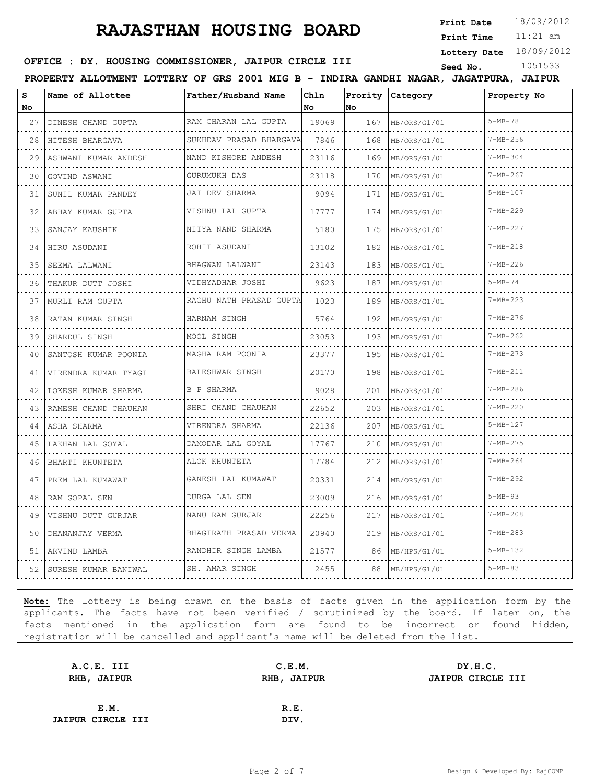**Print Date**  $18/09/2012$ 

11:21 am **Print Time**

**Lottery Date** 18/09/2012

#### **SEED : DY. HOUSING COMMISSIONER, JAIPUR CIRCLE III** Seed No. 1051533

**PROPERTY ALLOTMENT LOTTERY OF GRS 2001 MIG B - INDIRA GANDHI NAGAR, JAGATPURA, JAIPUR**

| S<br>No.     | Name of Allottee        | Father/Husband Name                  | Chln<br>No | Prority<br>No | Category     | Property No    |
|--------------|-------------------------|--------------------------------------|------------|---------------|--------------|----------------|
| 27           | DINESH CHAND GUPTA      | RAM CHARAN LAL GUPTA                 | 19069      | 167           | MB/ORS/G1/01 | $5 - MB - 78$  |
| $\sim$<br>28 | HITESH BHARGAVA         | SUKHDAV PRASAD BHARGAVA              | 7846       | 168           | MB/ORS/G1/01 | $7 - MB - 256$ |
| 29           | ASHWANI KUMAR ANDESH    | .<br>NAND KISHORE ANDESH             | 23116      | 169           | MB/ORS/G1/01 | $7 - MB - 304$ |
| 30           | GOVIND ASWANI           | GURUMUKH DAS                         | 23118      | 170           | MB/ORS/G1/01 | $7 - MB - 267$ |
| 31           | .<br>SUNIL KUMAR PANDEY | a da da da da da d<br>JAI DEV SHARMA | 9094       | 171           | MB/ORS/G1/01 | $5-MB-107$     |
| 32           | ABHAY KUMAR GUPTA       | .<br>VISHNU LAL GUPTA                | 17777      | 174           | MB/ORS/G1/01 | $7 - MB - 229$ |
| 33           | SANJAY KAUSHIK          | NITYA NAND SHARMA                    | 5180       | 175           | MB/ORS/G1/01 | $7 - MB - 227$ |
| 34           | HIRU ASUDANI            | ROHIT ASUDANI                        | 13102      | 182           | MB/ORS/G1/01 | $7 - MB - 218$ |
| 35           | SEEMA LALWANI           | BHAGWAN LALWANI                      | 23143      | 183           | MB/ORS/G1/01 | $7 - MB - 226$ |
| 36           | THAKUR DUTT JOSHI       | VIDHYADHAR JOSHI                     | 9623       | 187           | MB/ORS/G1/01 | $5 - MB - 74$  |
| 37           | MURLI RAM GUPTA         | RAGHU NATH PRASAD GUPTA              | 1023       | 189           | MB/ORS/G1/01 | $7-MB-223$     |
| 38           | RATAN KUMAR SINGH       | HARNAM SINGH                         | 5764       | 192           | MB/ORS/G1/01 | $7 - MB - 276$ |
| 39           | SHARDUL SINGH           | MOOL SINGH                           | 23053      | 193           | MB/ORS/G1/01 | $7 - MB - 262$ |
| 40           | SANTOSH KUMAR POONIA    | MAGHA RAM POONIA                     | 23377      | 195           | MB/ORS/G1/01 | $7 - MB - 273$ |
| 41           | VIRENDRA KUMAR TYAGI    | BALESHWAR SINGH                      | 20170      | 198           | MB/ORS/G1/01 | $7 - MB - 211$ |
| 42           | LOKESH KUMAR SHARMA     | B P SHARMA                           | 9028       | 201           | MB/ORS/G1/01 | $7-MB-286$     |
| 43           | RAMESH CHAND CHAUHAN    | SHRI CHAND CHAUHAN                   | 22652      | 203           | MB/ORS/G1/01 | $7 - MB - 220$ |
| 44           | ASHA SHARMA             | VIRENDRA SHARMA                      | 22136      | 207           | MB/ORS/G1/01 | $5-MB-127$     |
| 45           | LAKHAN LAL GOYAL        | DAMODAR LAL GOYAL                    | 17767      | 210           | MB/ORS/G1/01 | $7 - MB - 275$ |
| 46           | BHARTI KHUNTETA         | ALOK KHUNTETA                        | 17784      | 212           | MB/ORS/G1/01 | $7 - MB - 264$ |
| 47           | PREM LAL KUMAWAT        | GANESH LAL KUMAWAT                   | 20331      | 214           | MB/ORS/G1/01 | $7 - MB - 292$ |
| 48           | RAM GOPAL SEN           | DURGA LAL SEN                        | 23009      | 216           | MB/ORS/G1/01 | $5 - MB - 93$  |
| 49           | VISHNU DUTT GURJAR      | NANU RAM GURJAR                      | 22256      | 217           | MB/ORS/G1/01 | $7 - MB - 208$ |
| 50           | DHANANJAY VERMA         | BHAGIRATH PRASAD VERMA               | 20940      | 219           | MB/ORS/G1/01 | $7 - MB - 283$ |
| 51           | ARVIND LAMBA            | RANDHIR SINGH LAMBA                  | 21577      | 86            | MB/HPS/G1/01 | $5-MB-132$     |
| 52           | SURESH KUMAR BANIWAL    | SH. AMAR SINGH                       | 2455       | 88            | MB/HPS/G1/01 | $5 - MB - 83$  |

| A.C.E. III               | C.E.M. | DY.H.C.           |
|--------------------------|--------|-------------------|
| RHB, JAIPUR              |        | JAIPUR CIRCLE III |
|                          |        |                   |
| E.M.                     | R.E.   |                   |
| <b>JAIPUR CIRCLE III</b> | DIV.   |                   |
|                          |        | RHB, JAIPUR       |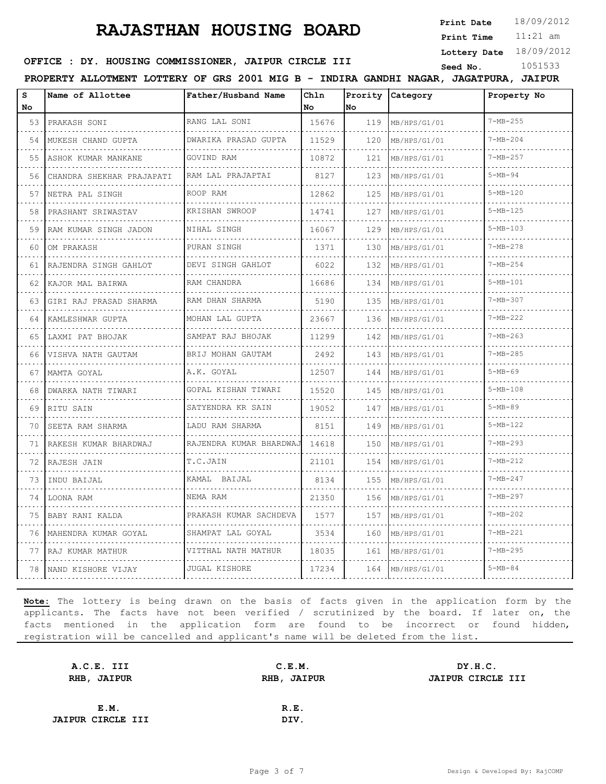**Print Date**  $18/09/2012$ 

11:21 am **Print Time**

**Lottery Date** 18/09/2012

#### **SEED : DY. HOUSING COMMISSIONER, JAIPUR CIRCLE III** Seed No. 1051533

**PROPERTY ALLOTMENT LOTTERY OF GRS 2001 MIG B - INDIRA GANDHI NAGAR, JAGATPURA, JAIPUR**

| s<br>No | Name of Allottee           | Father/Husband Name       | Chln<br>No | Prority<br>No | Category     | Property No    |
|---------|----------------------------|---------------------------|------------|---------------|--------------|----------------|
| 53      | PRAKASH SONI               | RANG LAL SONI             | 15676      | 119           | MB/HPS/G1/01 | $7 - MB - 255$ |
| 54      | MUKESH CHAND GUPTA         | .<br>DWARIKA PRASAD GUPTA | 11529      | 120           | MB/HPS/G1/01 | $7 - MB - 204$ |
| 55      | ASHOK KUMAR MANKANE        | GOVIND RAM                | 10872      | 121           | MB/HPS/G1/01 | $7 - MB - 257$ |
| 56      | CHANDRA SHEKHAR PRAJAPATI  | RAM LAL PRAJAPTAI         | 8127       | 123           | MB/HPS/G1/01 | $5 - MB - 94$  |
| 57      | NETRA PAL SINGH            | .<br>ROOP RAM             | 12862      | 125           | MB/HPS/G1/01 | $5 - MB - 120$ |
| 58      | PRASHANT SRIWASTAV         | KRISHAN SWROOP            | 14741      | 127           | MB/HPS/G1/01 | $5-MB-125$     |
| 59      | .<br>RAM KUMAR SINGH JADON | NIHAL SINGH               | 16067      | 129           | MB/HPS/G1/01 | $5-MB-103$     |
| 60      | OM PRAKASH                 | PURAN SINGH               | 1371       | 130           | MB/HPS/G1/01 | $7 - MB - 278$ |
| 61      | RAJENDRA SINGH GAHLOT      | DEVI SINGH GAHLOT         | 6022       | 132           | MB/HPS/G1/01 | $7 - MB - 254$ |
| 62      | KAJOR MAL BAIRWA           | .<br>RAM CHANDRA          | 16686      | 134           | MB/HPS/G1/01 | $5 - MB - 101$ |
| 63      | GIRI RAJ PRASAD SHARMA     | RAM DHAN SHARMA           | 5190       | 135           | MB/HPS/G1/01 | $7 - MB - 307$ |
| 64      | KAMLESHWAR GUPTA<br>.      | MOHAN LAL GUPTA<br>.      | 23667      | 136           | MB/HPS/G1/01 | $7 - MB - 222$ |
| 65      | LAXMI PAT BHOJAK           | SAMPAT RAJ BHOJAK         | 11299      | 142           | MB/HPS/G1/01 | $7-MB-263$     |
| 66      | VISHVA NATH GAUTAM         | BRIJ MOHAN GAUTAM         | 2492       | 143           | MB/HPS/G1/01 | $7 - MB - 285$ |
| 67      | MAMTA GOYAL                | A.K. GOYAL                | 12507      | 144           | MB/HPS/G1/01 | $5 - MB - 69$  |
| 68      | DWARKA NATH TIWARI         | GOPAL KISHAN TIWARI       | 15520      | 145           | MB/HPS/G1/01 | $5 - MB - 108$ |
| 69      | RITU SAIN                  | SATYENDRA KR SAIN         | 19052      | 147           | MB/HPS/G1/01 | $5 - MB - 89$  |
| 70      | SEETA RAM SHARMA           | LADU RAM SHARMA           | 8151       | 149           | MB/HPS/G1/01 | $5-MB-122$     |
| 71      | RAKESH KUMAR BHARDWAJ      | RAJENDRA KUMAR BHARDWAJ   | 14618      | 150           | MB/HPS/G1/01 | $7 - MB - 293$ |
| 72      | RAJESH JAIN                | T.C.JAIN                  | 21101      | 154           | MB/HPS/G1/01 | $7 - MB - 212$ |
| 73      | INDU BAIJAL                | KAMAL BAIJAL              | 8134       | 155           | MB/HPS/G1/01 | $7 - MB - 247$ |
| 74      | LOONA RAM                  | NEMA RAM                  | 21350      | 156           | MB/HPS/G1/01 | $7 - MB - 297$ |
| 75      | BABY RANI KALDA            | PRAKASH KUMAR SACHDEVA    | 1577       | 157           | MB/HPS/G1/01 | $7 - MB - 202$ |
| 76      | MAHENDRA KUMAR GOYAL       | SHAMPAT LAL GOYAL         | 3534       | 160           | MB/HPS/G1/01 | $7 - MB - 221$ |
| 77      | RAJ KUMAR MATHUR           | VITTHAL NATH MATHUR       | 18035      | 161           | MB/HPS/G1/01 | $7 - MB - 295$ |
| 78      | NAND KISHORE VIJAY         | <b>JUGAL KISHORE</b>      | 17234      | 164           | MB/HPS/G1/01 | $5 - MB - 84$  |

| A.C.E. III               | C.E.M.      | DY.H.C.           |
|--------------------------|-------------|-------------------|
| RHB, JAIPUR              | RHB, JAIPUR | JAIPUR CIRCLE III |
|                          |             |                   |
| E.M.                     | R.E.        |                   |
| <b>JAIPUR CIRCLE III</b> | DIV.        |                   |
|                          |             |                   |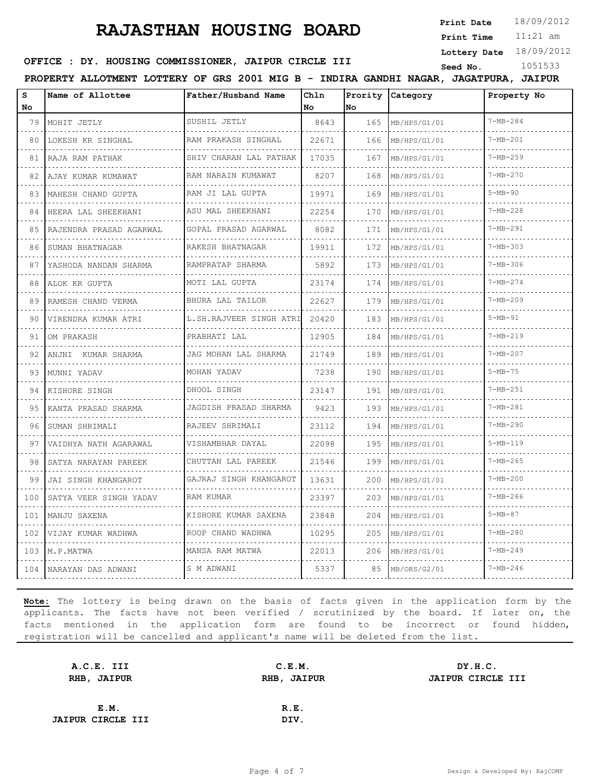**Print Date**  $18/09/2012$ 

11:21 am **Print Time**

**Lottery Date** 18/09/2012

#### **SEED : DY. HOUSING COMMISSIONER, JAIPUR CIRCLE III** Seed No. 1051533

**PROPERTY ALLOTMENT LOTTERY OF GRS 2001 MIG B - INDIRA GANDHI NAGAR, JAGATPURA, JAIPUR**

| S<br>No | Name of Allottee        | Father/Husband Name                    | Chln<br>No | Prority<br>No | <i>Category</i> | Property No    |
|---------|-------------------------|----------------------------------------|------------|---------------|-----------------|----------------|
| 79      | MOHIT JETLY             | SUSHIL JETLY                           | 8643       | 165           | MB/HPS/G1/01    | $7 - MB - 284$ |
| 80      | LOKESH KR SINGHAL       | RAM PRAKASH SINGHAL                    | 22671      | 166           | MB/HPS/G1/01    | $7 - MB - 201$ |
| 81      | RAJA RAM PATHAK         | SHIV CHARAN LAL PATHAK                 | 17035      | 167           | MB/HPS/G1/01    | $7 - MB - 259$ |
| 82      | AJAY KUMAR KUMAWAT      | RAM NARAIN KUMAWAT                     | 8207       | 168           | MB/HPS/G1/01    | $7 - MB - 270$ |
| 83      | MAHESH CHAND GUPTA      | RAM JI LAL GUPTA                       | 19971      | 169           | MB/HPS/G1/01    | $5-MB-90$      |
| 84      | HEERA LAL SHEEKHANI     | ASU MAL SHEEKHANI                      | 22254      | 170           | MB/HPS/G1/01    | $7 - MB - 228$ |
| 85      | RAJENDRA PRASAD AGARWAL | .<br>GOPAL PRASAD AGARWAL              | 8082       | 171           | MB/HPS/G1/01    | $7 - MB - 291$ |
| 86      | SUMAN BHATNAGAR         | RAKESH BHATNAGAR                       | 19911      | 172           | MB/HPS/G1/01    | $7 - MB - 303$ |
| 87      | YASHODA NANDAN SHARMA   | RAMPRATAP SHARMA                       | 5892       | 173           | MB/HPS/G1/01    | $7 - MB - 306$ |
| 88      | ALOK KR GUPTA           | MOTI LAL GUPTA                         | 23174      | 174           | MB/HPS/G1/01    | $7 - MB - 274$ |
| 89      | RAMESH CHAND VERMA      | BHURA LAL TAILOR                       | 22627      | 179           | MB/HPS/G1/01    | $7 - MB - 209$ |
| 90      | VIRENDRA KUMAR ATRI     | L.SH.RAJVEER SINGH ATRI                | 20420      | 183           | MB/HPS/G1/01    | $5-MB-91$      |
| 91      | OM PRAKASH              | PRABHATI LAL                           | 12905      | 184           | MB/HPS/G1/01    | $7 - MB - 219$ |
| 92      | ANJNI KUMAR SHARMA      | JAG MOHAN LAL SHARMA                   | 21749      | 189           | MB/HPS/G1/01    | $7 - MB - 207$ |
| 93      | MUNNI YADAV             | MOHAN YADAV                            | 7238       | 190           | MB/HPS/G1/01    | $5-MB-75$      |
| 94      | KISHORE SINGH           | DHOOL SINGH                            | 23147      | 191           | MB/HPS/G1/01    | $7 - MB - 251$ |
| 95      | KANTA PRASAD SHARMA     | JAGDISH PRASAD SHARMA                  | 9423       | 193           | MB/HPS/G1/01    | $7 - MB - 281$ |
| 96      | SUMAN SHRIMALI          | RAJEEV SHRIMALI<br>dia dia dia dia dia | 23112      | 194           | MB/HPS/G1/01    | $7 - MB - 290$ |
| 97      | VAIDHYA NATH AGARAWAL   | VISHAMBHAR DAYAL                       | 22098      | 195           | MB/HPS/G1/01    | $5 - MB - 119$ |
| 98      | SATYA NARAYAN PAREEK    | CHUTTAN LAL PAREEK                     | 21546      | 199           | MB/HPS/G1/01    | $7 - MB - 265$ |
| 99      | JAI SINGH KHANGAROT     | GAJRAJ SINGH KHANGAROT                 | 13631      | 200           | MB/HPS/G1/01    | $7 - MB - 200$ |
| 100     | SATYA VEER SINGH YADAV  | RAM KUMAR                              | 23397      | 203           | MB/HPS/G1/01    | $7 - MB - 266$ |
| 101     | MANJU SAXENA            | KISHORE KUMAR SAXENA                   | 23848      | 204           | MB/HPS/G1/01    | $5 - MB - 87$  |
| 102     | VIJAY KUMAR WADHWA      | ROOP CHAND WADHWA                      | 10295      | 205           | MB/HPS/G1/01    | $7 - MB - 280$ |
| 103     | M.P.MATWA               | MANSA RAM MATWA                        | 22013      | 206           | MB/HPS/G1/01    | $7 - MB - 249$ |
| 104     | NARAYAN DAS ADWANI      | S M ADWANI                             | 5337       | 85            | MB/ORS/G2/01    | $7 - MB - 246$ |

| A.C.E. III               | C.E.M. | DY.H.C.           |
|--------------------------|--------|-------------------|
| RHB, JAIPUR              |        | JAIPUR CIRCLE III |
|                          |        |                   |
| E.M.                     | R.E.   |                   |
| <b>JAIPUR CIRCLE III</b> | DIV.   |                   |
|                          |        | RHB, JAIPUR       |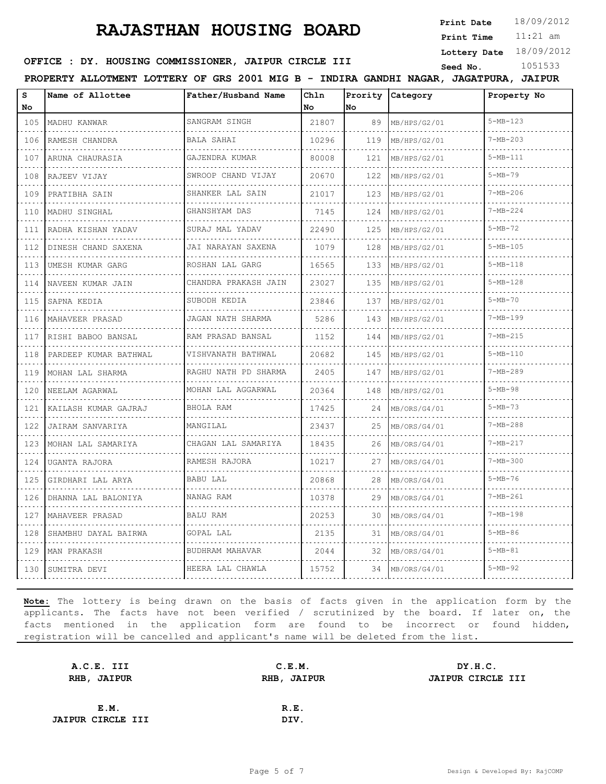**Print Date**  $18/09/2012$ 

11:21 am **Print Time**

**Lottery Date** 18/09/2012

#### **SEED : DY. HOUSING COMMISSIONER, JAIPUR CIRCLE III** Seed No. 1051533

**PROPERTY ALLOTMENT LOTTERY OF GRS 2001 MIG B - INDIRA GANDHI NAGAR, JAGATPURA, JAIPUR**

| S<br>No           | Name of Allottee      | Father/Husband Name    | Chln<br>No | Prority<br>No | Category     | Property No    |
|-------------------|-----------------------|------------------------|------------|---------------|--------------|----------------|
| 105               | MADHU KANWAR          | SANGRAM SINGH          | 21807      | 89            | MB/HPS/G2/01 | $5 - MB - 123$ |
| .<br>106          | RAMESH CHANDRA        | <b>BALA SAHAI</b>      | 10296      | 119           | MB/HPS/G2/01 | $7 - MB - 203$ |
| 107               | ARUNA CHAURASIA       | GAJENDRA KUMAR         | 80008      | 121           | MB/HPS/G2/01 | $5 - MB - 111$ |
| 108               | RAJEEV VIJAY          | SWROOP CHAND VIJAY     | 20670      | 122           | MB/HPS/G2/01 | $5 - MB - 79$  |
| .<br>109          | PRATIBHA SAIN         | SHANKER LAL SAIN       | 21017      | 123           | MB/HPS/G2/01 | $7 - MB - 206$ |
| 110               | MADHU SINGHAL         | GHANSHYAM DAS          | 7145       | 124           | MB/HPS/G2/01 | $7 - MB - 224$ |
| .<br>111          | RADHA KISHAN YADAV    | SURAJ MAL YADAV        | 22490      | 125           | MB/HPS/G2/01 | $5 - MB - 72$  |
| .<br>112          | DINESH CHAND SAXENA   | JAI NARAYAN SAXENA     | 1079       | 128           | MB/HPS/G2/01 | $5 - MB - 105$ |
| 113               | UMESH KUMAR GARG<br>. | ROSHAN LAL GARG        | 16565      | 133           | MB/HPS/G2/01 | $5 - MB - 118$ |
| 114<br>.          | NAVEEN KUMAR JAIN     | CHANDRA PRAKASH JAIN   | 23027      | 135           | MB/HPS/G2/01 | $5 - MB - 128$ |
| 115               | SAPNA KEDIA           | SUBODH KEDIA           | 23846      | 137           | MB/HPS/G2/01 | $5 - MB - 70$  |
| 116               | MAHAVEER PRASAD       | JAGAN NATH SHARMA<br>. | 5286       | 143           | MB/HPS/G2/01 | $7 - MB - 199$ |
| 117               | RISHI BABOO BANSAL    | RAM PRASAD BANSAL      | 1152       | 144           | MB/HPS/G2/01 | $7 - MB - 215$ |
| 118               | PARDEEP KUMAR BATHWAL | VISHVANATH BATHWAL     | 20682      | 145           | MB/HPS/G2/01 | $5 - MB - 110$ |
| د د د<br>119<br>. | MOHAN LAL SHARMA<br>. | RAGHU NATH PD SHARMA   | 2405       | 147           | MB/HPS/G2/01 | $7 - MB - 289$ |
| 120               | NEELAM AGARWAL        | MOHAN LAL AGGARWAL     | 20364      | 148           | MB/HPS/G2/01 | $5 - MB - 98$  |
| 121<br>a a an     | KAILASH KUMAR GAJRAJ  | BHOLA RAM              | 17425      | 24            | MB/ORS/G4/01 | $5 - MB - 73$  |
| 122<br>.          | JAIRAM SANVARIYA      | MANGILAL               | 23437      | 25            | MB/ORS/G4/01 | $7 - MB - 288$ |
| 123               | MOHAN LAL SAMARIYA    | CHAGAN LAL SAMARIYA    | 18435      | 26            | MB/ORS/G4/01 | $7 - MB - 217$ |
| 124               | UGANTA RAJORA         | RAMESH RAJORA          | 10217      | 27            | MB/ORS/G4/01 | $7 - MB - 300$ |
| in and<br>125     | GIRDHARI LAL ARYA     | <b>BABU LAL</b>        | 20868      | 28            | MB/ORS/G4/01 | $5 - MB - 76$  |
| 126               | DHANNA LAL BALONIYA   | NANAG RAM              | 10378      | 29            | MB/ORS/G4/01 | $7 - MB - 261$ |
| 127               | MAHAVEER PRASAD       | <b>BALU RAM</b>        | 20253      | 30            | MB/ORS/G4/01 | $7 - MB - 198$ |
| 128               | SHAMBHU DAYAL BAIRWA  | GOPAL LAL              | 2135       | 31            | MB/ORS/G4/01 | $5 - MB - 86$  |
| 129               | MAN PRAKASH           | BUDHRAM MAHAVAR        | 2044       | 32            | MB/ORS/G4/01 | $5 - MB - 81$  |
| 130               | SUMITRA DEVI          | HEERA LAL CHAWLA       | 15752      | 34            | MB/ORS/G4/01 | $5 - MB - 92$  |

| A.C.E. III               | C.E.M. | DY.H.C.           |
|--------------------------|--------|-------------------|
| RHB, JAIPUR              |        | JAIPUR CIRCLE III |
|                          |        |                   |
| E.M.                     | R.E.   |                   |
| <b>JAIPUR CIRCLE III</b> | DIV.   |                   |
|                          |        | RHB, JAIPUR       |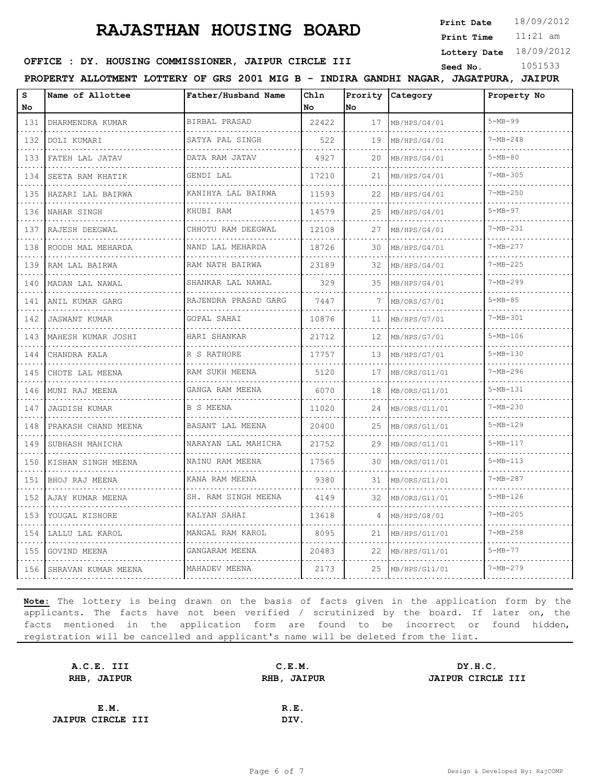**Print Date**  $18/09/2012$ 

11:21 am **Print Time**

**Lottery Date** 18/09/2012

#### **SEED : DY. HOUSING COMMISSIONER, JAIPUR CIRCLE III** Seed No. 1051533

**PROPERTY ALLOTMENT LOTTERY OF GRS 2001 MIG B - INDIRA GANDHI NAGAR, JAGATPURA, JAIPUR**

| s                     | Name of Allottee          | Father/Husband Name      | Chln  |         | Prority Category | Property No    |
|-----------------------|---------------------------|--------------------------|-------|---------|------------------|----------------|
| No                    |                           |                          | No    | No.     |                  | $5 - MB - 99$  |
| 131                   | DHARMENDRA KUMAR          | BIRBAL PRASAD<br>.       | 22422 | 17      | MB/HPS/G4/01     |                |
| 132                   | DOLI KUMARI               | SATYA PAL SINGH          | 522   | 19      | MB/HPS/G4/01     | $7 - MB - 248$ |
| 133<br><b>Service</b> | FATEH LAL JATAV<br>.      | DATA RAM JATAV<br>.      | 4927  | 20      | MB/HPS/G4/01     | $5 - MB - 80$  |
| 134                   | SEETA RAM KHATIK          | GENDI LAL                | 17210 | 21      | MB/HPS/G4/01     | $7 - MB - 305$ |
| 135                   | HAZARI LAL BAIRWA         | KANIHYA LAL BAIRWA       | 11593 | 22      | MB/HPS/G4/01     | $7 - MB - 250$ |
| 136<br>.              | NAHAR SINGH<br>.          | KHUBI RAM                | 14579 | 25<br>. | MB/HPS/G4/01     | $5 - MB - 97$  |
| 137                   | RAJESH DEEGWAL<br>.       | CHHOTU RAM DEEGWAL<br>.  | 12108 | 27      | MB/HPS/G4/01     | $7 - MB - 231$ |
| 138                   | ROODH MAL MEHARDA         | NAND LAL MEHARDA         | 18726 | 30      | MB/HPS/G4/01     | $7 - MB - 277$ |
| 139<br>.              | RAM LAL BAIRWA            | RAM NATH BAIRWA<br>.     | 23189 | 32      | MB/HPS/G4/01     | $7 - MB - 225$ |
| 140                   | MADAN LAL NAWAL<br>.      | SHANKAR LAL NAWAL<br>.   | 329   | 35      | MB/HPS/G4/01     | $7 - MB - 299$ |
| 141                   | ANIL KUMAR GARG           | RAJENDRA PRASAD GARG     | 7447  |         | MB/ORS/G7/01     | $5 - MB - 85$  |
| 142<br>.              | <b>JASWANT KUMAR</b><br>. | GOPAL SAHAI<br>.         | 10876 | 11      | MB/HPS/G7/01     | $7 - MB - 301$ |
| 143                   | MAHESH KUMAR JOSHI        | HARI SHANKAR             | 21712 | 12      | MB/HPS/G7/01     | $5 - MB - 106$ |
| 144                   | CHANDRA KALA              | R S RATHORE              | 17757 | 13      | MB/HPS/G7/01     | $5-MB-130$     |
| 145<br>.              | CHOTE LAL MEENA           | RAM SUKH MEENA<br>.      | 5120  | 17      | MB/ORS/G11/01    | $7 - MB - 296$ |
| 146                   | MUNI RAJ MEENA            | GANGA RAM MEENA          | 6070  | 18      | MB/ORS/G11/01    | $5 - MB - 131$ |
| 147                   | <b>JAGDISH KUMAR</b>      | B S MEENA                | 11020 | 24      | MB/ORS/G11/01    | $7 - MB - 230$ |
| 148<br>.              | PRAKASH CHAND MEENA       | BASANT LAL MEENA<br>.    | 20400 | 25      | MB/ORS/G11/01    | $5 - MB - 129$ |
| 149                   | SUBHASH MAHICHA           | NARAYAN LAL MAHICHA<br>. | 21752 | 29      | MB/ORS/G11/01    | $5 - MB - 117$ |
| 150                   | KISHAN SINGH MEENA        | NAINU RAM MEENA          | 17565 | 30      | MB/ORS/G11/01    | $5 - MB - 113$ |
| 151<br>.              | BHOJ RAJ MEENA<br>.       | KANA RAM MEENA<br>.      | 9380  | 31      | MB/ORS/G11/01    | $7 - MB - 287$ |
| 152                   | AJAY KUMAR MEENA<br>.     | SH. RAM SINGH MEENA      | 4149  | 32      | MB/ORS/G11/01    | $5 - MB - 126$ |
| 153                   | YOUGAL KISHORE            | KALYAN SAHAI             | 13618 | 4       | MB/HPS/G8/01     | $7 - MB - 205$ |
| 154<br>.              | LALLU LAL KAROL           | MANGAL RAM KAROL<br>.    | 8095  | 21      | MB/HPS/G11/01    | $7 - MB - 258$ |
| 155                   | GOVIND MEENA              | GANGARAM MEENA           | 20483 | 22      | MB/HPS/G11/01    | $5 - MB - 77$  |
| 156                   | SHRAVAN KUMAR MEENA       | .<br>MAHADEV MEENA       | 2173  | 25      | MB/HPS/G11/01    | $7 - MB - 279$ |

| A.C.E. III               | C.E.M.      | DY.H.C.           |
|--------------------------|-------------|-------------------|
| RHB, JAIPUR              | RHB, JAIPUR | JAIPUR CIRCLE III |
|                          |             |                   |
| E.M.                     | R.E.        |                   |
| <b>JAIPUR CIRCLE III</b> | DIV.        |                   |
|                          |             |                   |